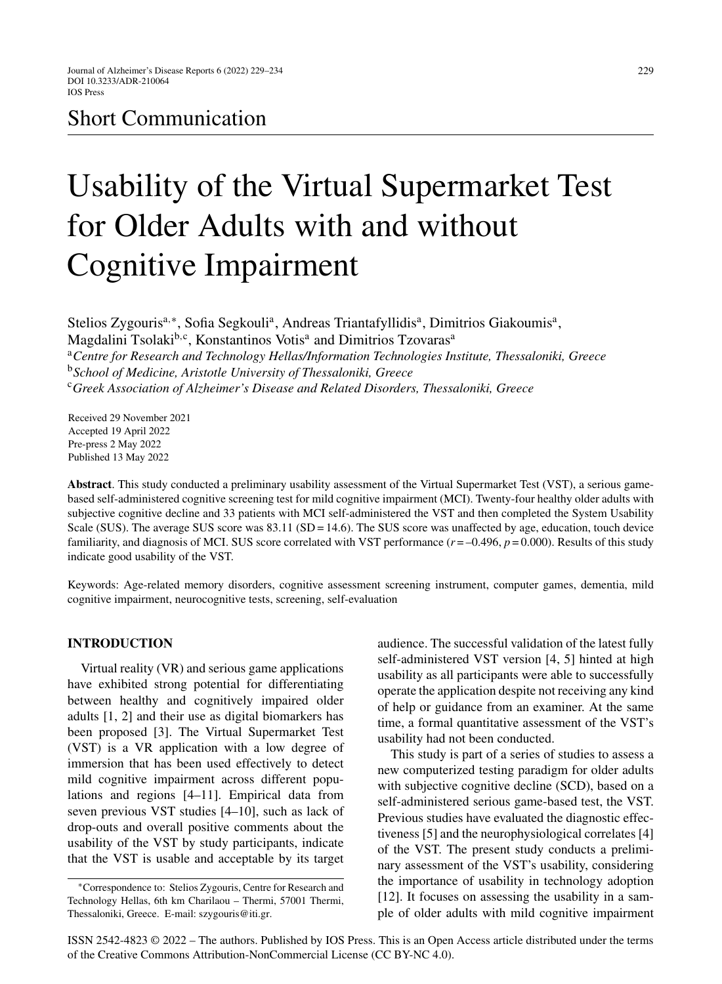# Short Communication

# Usability of the Virtual Supermarket Test for Older Adults with and without Cognitive Impairment

Stelios Zygouris<sup>a,∗</sup>, Sofia Segkouli<sup>a</sup>, Andreas Triantafyllidis<sup>a</sup>, Dimitrios Giakoumis<sup>a</sup>, Magdalini Tsolaki<sup>b,c</sup>, Konstantinos Votis<sup>a</sup> and Dimitrios Tzovaras<sup>a</sup> <sup>a</sup>*Centre for Research and Technology Hellas/Information Technologies Institute, Thessaloniki, Greece* <sup>b</sup>*School of Medicine, Aristotle University of Thessaloniki, Greece* <sup>c</sup>*Greek Association of Alzheimer's Disease and Related Disorders, Thessaloniki, Greece*

Received 29 November 2021 Accepted 19 April 2022 Pre-press 2 May 2022 Published 13 May 2022

**Abstract**. This study conducted a preliminary usability assessment of the Virtual Supermarket Test (VST), a serious gamebased self-administered cognitive screening test for mild cognitive impairment (MCI). Twenty-four healthy older adults with subjective cognitive decline and 33 patients with MCI self-administered the VST and then completed the System Usability Scale (SUS). The average SUS score was 83.11 (SD = 14.6). The SUS score was unaffected by age, education, touch device familiarity, and diagnosis of MCI. SUS score correlated with VST performance  $(r = -0.496, p = 0.000)$ . Results of this study indicate good usability of the VST.

Keywords: Age-related memory disorders, cognitive assessment screening instrument, computer games, dementia, mild cognitive impairment, neurocognitive tests, screening, self-evaluation

# **INTRODUCTION**

Virtual reality (VR) and serious game applications have exhibited strong potential for differentiating between healthy and cognitively impaired older adults [1, 2] and their use as digital biomarkers has been proposed [3]. The Virtual Supermarket Test (VST) is a VR application with a low degree of immersion that has been used effectively to detect mild cognitive impairment across different populations and regions [4–11]. Empirical data from seven previous VST studies [4–10], such as lack of drop-outs and overall positive comments about the usability of the VST by study participants, indicate that the VST is usable and acceptable by its target audience. The successful validation of the latest fully self-administered VST version [4, 5] hinted at high usability as all participants were able to successfully operate the application despite not receiving any kind of help or guidance from an examiner. At the same time, a formal quantitative assessment of the VST's usability had not been conducted.

This study is part of a series of studies to assess a new computerized testing paradigm for older adults with subjective cognitive decline (SCD), based on a self-administered serious game-based test, the VST. Previous studies have evaluated the diagnostic effectiveness [5] and the neurophysiological correlates [4] of the VST. The present study conducts a preliminary assessment of the VST's usability, considering the importance of usability in technology adoption [12]. It focuses on assessing the usability in a sample of older adults with mild cognitive impairment

ISSN 2542-4823 © 2022 – The authors. Published by IOS Press. This is an Open Access article distributed under the terms of the [Creative Commons Attribution-NonCommercial License \(CC BY-NC 4.0\).](https://creativecommons.org/licenses/by-nc/4.0/)

<sup>∗</sup>Correspondence to: Stelios Zygouris, Centre for Research and Technology Hellas, 6th km Charilaou – Thermi, 57001 Thermi, Thessaloniki, Greece. E-mail: [szygouris@iti.gr](mailto:szygouris@iti.gr).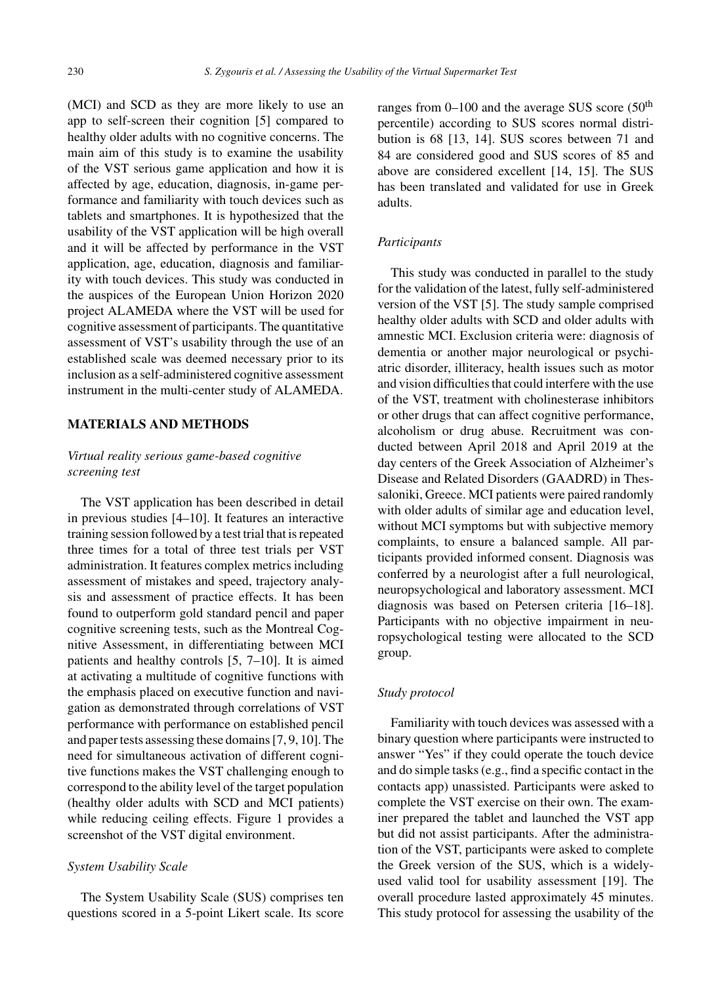(MCI) and SCD as they are more likely to use an app to self-screen their cognition [5] compared to healthy older adults with no cognitive concerns. The main aim of this study is to examine the usability of the VST serious game application and how it is affected by age, education, diagnosis, in-game performance and familiarity with touch devices such as tablets and smartphones. It is hypothesized that the usability of the VST application will be high overall and it will be affected by performance in the VST application, age, education, diagnosis and familiarity with touch devices. This study was conducted in the auspices of the European Union Horizon 2020 project ALAMEDA where the VST will be used for cognitive assessment of participants. The quantitative assessment of VST's usability through the use of an established scale was deemed necessary prior to its inclusion as a self-administered cognitive assessment instrument in the multi-center study of ALAMEDA.

# **MATERIALS AND METHODS**

# *Virtual reality serious game-based cognitive screening test*

The VST application has been described in detail in previous studies [4–10]. It features an interactive training session followed by a test trial that is repeated three times for a total of three test trials per VST administration. It features complex metrics including assessment of mistakes and speed, trajectory analysis and assessment of practice effects. It has been found to outperform gold standard pencil and paper cognitive screening tests, such as the Montreal Cognitive Assessment, in differentiating between MCI patients and healthy controls [5, 7–10]. It is aimed at activating a multitude of cognitive functions with the emphasis placed on executive function and navigation as demonstrated through correlations of VST performance with performance on established pencil and paper tests assessing these domains [7, 9, 10]. The need for simultaneous activation of different cognitive functions makes the VST challenging enough to correspond to the ability level of the target population (healthy older adults with SCD and MCI patients) while reducing ceiling effects. Figure 1 provides a screenshot of the VST digital environment.

# *System Usability Scale*

The System Usability Scale (SUS) comprises ten questions scored in a 5-point Likert scale. Its score ranges from  $0-100$  and the average SUS score ( $50<sup>th</sup>$ percentile) according to SUS scores normal distribution is 68 [13, 14]. SUS scores between 71 and 84 are considered good and SUS scores of 85 and above are considered excellent [14, 15]. The SUS has been translated and validated for use in Greek adults.

# *Participants*

This study was conducted in parallel to the study for the validation of the latest, fully self-administered version of the VST [5]. The study sample comprised healthy older adults with SCD and older adults with amnestic MCI. Exclusion criteria were: diagnosis of dementia or another major neurological or psychiatric disorder, illiteracy, health issues such as motor and vision difficulties that could interfere with the use of the VST, treatment with cholinesterase inhibitors or other drugs that can affect cognitive performance, alcoholism or drug abuse. Recruitment was conducted between April 2018 and April 2019 at the day centers of the Greek Association of Alzheimer's Disease and Related Disorders (GAADRD) in Thessaloniki, Greece. MCI patients were paired randomly with older adults of similar age and education level, without MCI symptoms but with subjective memory complaints, to ensure a balanced sample. All participants provided informed consent. Diagnosis was conferred by a neurologist after a full neurological, neuropsychological and laboratory assessment. MCI diagnosis was based on Petersen criteria [16–18]. Participants with no objective impairment in neuropsychological testing were allocated to the SCD group.

# *Study protocol*

Familiarity with touch devices was assessed with a binary question where participants were instructed to answer "Yes" if they could operate the touch device and do simple tasks (e.g., find a specific contact in the contacts app) unassisted. Participants were asked to complete the VST exercise on their own. The examiner prepared the tablet and launched the VST app but did not assist participants. After the administration of the VST, participants were asked to complete the Greek version of the SUS, which is a widelyused valid tool for usability assessment [19]. The overall procedure lasted approximately 45 minutes. This study protocol for assessing the usability of the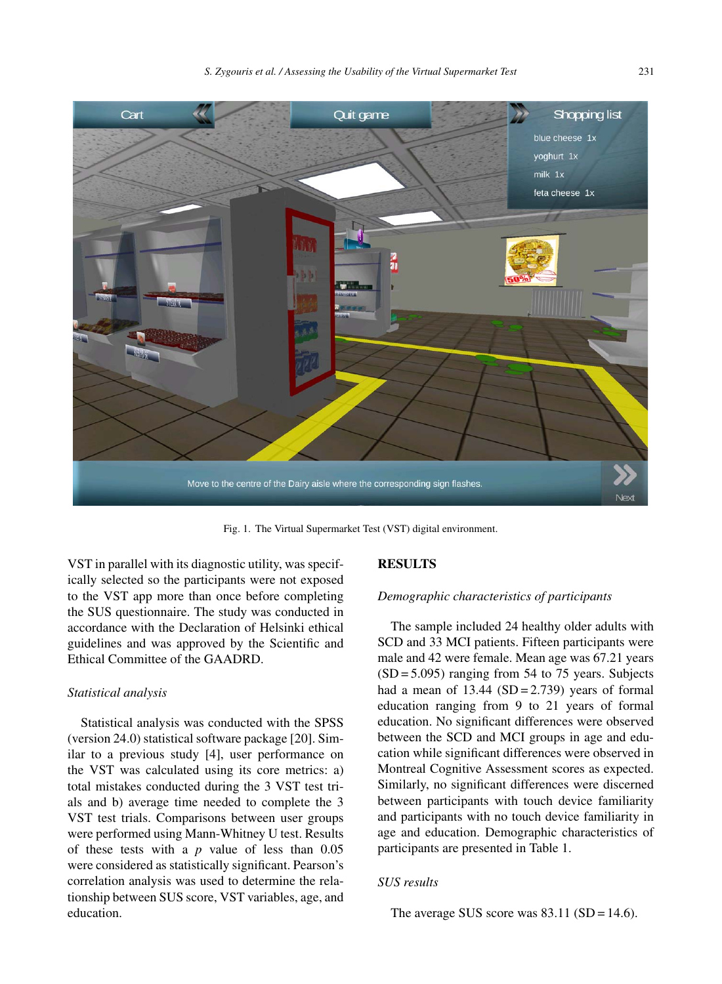

Fig. 1. The Virtual Supermarket Test (VST) digital environment.

VST in parallel with its diagnostic utility, was specifically selected so the participants were not exposed to the VST app more than once before completing the SUS questionnaire. The study was conducted in accordance with the Declaration of Helsinki ethical guidelines and was approved by the Scientific and Ethical Committee of the GAADRD.

# *Statistical analysis*

Statistical analysis was conducted with the SPSS (version 24.0) statistical software package [20]. Similar to a previous study [4], user performance on the VST was calculated using its core metrics: a) total mistakes conducted during the 3 VST test trials and b) average time needed to complete the 3 VST test trials. Comparisons between user groups were performed using Mann-Whitney U test. Results of these tests with a *p* value of less than 0.05 were considered as statistically significant. Pearson's correlation analysis was used to determine the relationship between SUS score, VST variables, age, and education.

#### **RESULTS**

#### *Demographic characteristics of participants*

The sample included 24 healthy older adults with SCD and 33 MCI patients. Fifteen participants were male and 42 were female. Mean age was 67.21 years  $(SD = 5.095)$  ranging from 54 to 75 years. Subjects had a mean of  $13.44$  (SD = 2.739) years of formal education ranging from 9 to 21 years of formal education. No significant differences were observed between the SCD and MCI groups in age and education while significant differences were observed in Montreal Cognitive Assessment scores as expected. Similarly, no significant differences were discerned between participants with touch device familiarity and participants with no touch device familiarity in age and education. Demographic characteristics of participants are presented in Table 1.

#### *SUS results*

The average SUS score was  $83.11$  (SD = 14.6).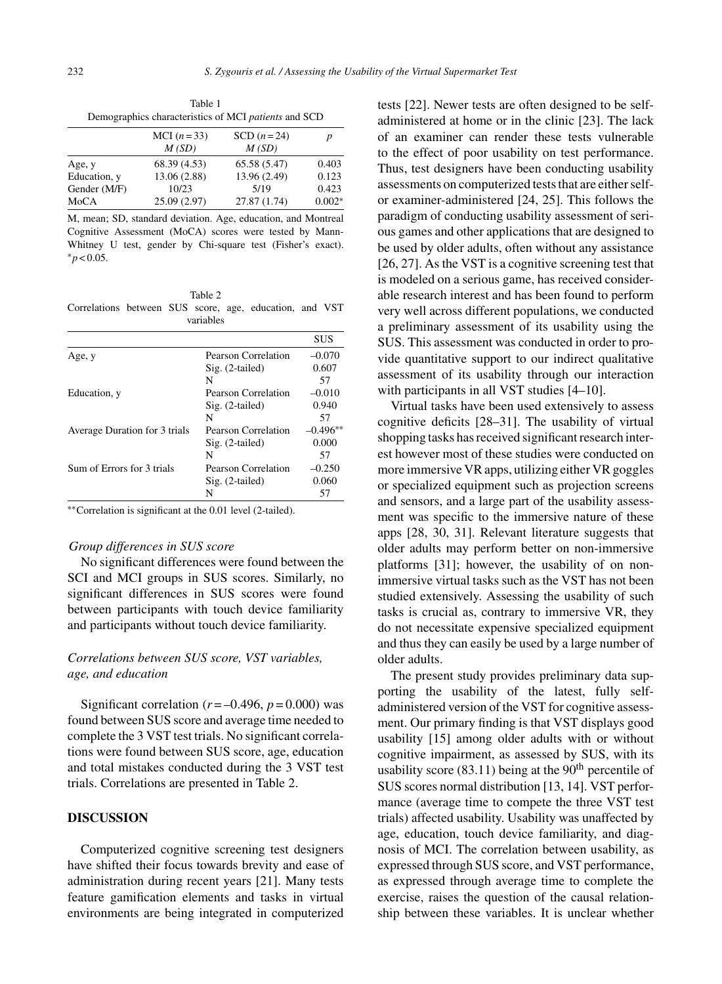| Table 1<br>Demographics characteristics of MCI patients and SCD |              |              |  |  |
|-----------------------------------------------------------------|--------------|--------------|--|--|
|                                                                 | MCI $(n=33)$ | SCD $(n=24)$ |  |  |
|                                                                 | $M$ (CD)     | $M$ (CD)     |  |  |

|              | M(SD)        | M(SD)        |          |
|--------------|--------------|--------------|----------|
| Age, y       | 68.39 (4.53) | 65.58(5.47)  | 0.403    |
| Education, y | 13.06 (2.88) | 13.96 (2.49) | 0.123    |
| Gender (M/F) | 10/23        | 5/19         | 0.423    |
| MoCA         | 25.09(2.97)  | 27.87 (1.74) | $0.002*$ |

M, mean; SD, standard deviation. Age, education, and Montreal Cognitive Assessment (MoCA) scores were tested by Mann-Whitney U test, gender by Chi-square test (Fisher's exact). ∗*p* < 0.05.

Table 2 Correlations between SUS score, age, education, and VST variables

|                               |                     | <b>SUS</b> |
|-------------------------------|---------------------|------------|
| Age, y                        | Pearson Correlation | $-0.070$   |
|                               | Sig. (2-tailed)     | 0.607      |
|                               | N                   | 57         |
| Education, y                  | Pearson Correlation | $-0.010$   |
|                               | $Sig. (2-tailed)$   | 0.940      |
|                               | N                   | 57         |
| Average Duration for 3 trials | Pearson Correlation | $-0.496**$ |
|                               | Sig. (2-tailed)     | 0.000      |
|                               | N                   | 57         |
| Sum of Errors for 3 trials    | Pearson Correlation | $-0.250$   |
|                               | Sig. (2-tailed)     | 0.060      |
|                               | N                   | 57         |
|                               |                     |            |

∗∗Correlation is significant at the 0.01 level (2-tailed).

#### *Group differences in SUS score*

No significant differences were found between the SCI and MCI groups in SUS scores. Similarly, no significant differences in SUS scores were found between participants with touch device familiarity and participants without touch device familiarity.

# *Correlations between SUS score, VST variables, age, and education*

Significant correlation  $(r = -0.496, p = 0.000)$  was found between SUS score and average time needed to complete the 3 VST test trials. No significant correlations were found between SUS score, age, education and total mistakes conducted during the 3 VST test trials. Correlations are presented in Table 2.

# **DISCUSSION**

Computerized cognitive screening test designers have shifted their focus towards brevity and ease of administration during recent years [21]. Many tests feature gamification elements and tasks in virtual environments are being integrated in computerized

tests [22]. Newer tests are often designed to be selfadministered at home or in the clinic [23]. The lack of an examiner can render these tests vulnerable to the effect of poor usability on test performance. Thus, test designers have been conducting usability assessments on computerized tests that are either selfor examiner-administered [24, 25]. This follows the paradigm of conducting usability assessment of serious games and other applications that are designed to be used by older adults, often without any assistance [26, 27]. As the VST is a cognitive screening test that is modeled on a serious game, has received considerable research interest and has been found to perform very well across different populations, we conducted a preliminary assessment of its usability using the SUS. This assessment was conducted in order to provide quantitative support to our indirect qualitative assessment of its usability through our interaction with participants in all VST studies [4–10].

Virtual tasks have been used extensively to assess cognitive deficits [28–31]. The usability of virtual shopping tasks has received significant research interest however most of these studies were conducted on more immersive VR apps, utilizing either VR goggles or specialized equipment such as projection screens and sensors, and a large part of the usability assessment was specific to the immersive nature of these apps [28, 30, 31]. Relevant literature suggests that older adults may perform better on non-immersive platforms [31]; however, the usability of on nonimmersive virtual tasks such as the VST has not been studied extensively. Assessing the usability of such tasks is crucial as, contrary to immersive VR, they do not necessitate expensive specialized equipment and thus they can easily be used by a large number of older adults.

The present study provides preliminary data supporting the usability of the latest, fully selfadministered version of the VST for cognitive assessment. Our primary finding is that VST displays good usability [15] among older adults with or without cognitive impairment, as assessed by SUS, with its usability score  $(83.11)$  being at the  $90<sup>th</sup>$  percentile of SUS scores normal distribution [13, 14]. VST performance (average time to compete the three VST test trials) affected usability. Usability was unaffected by age, education, touch device familiarity, and diagnosis of MCI. The correlation between usability, as expressed through SUS score, and VST performance, as expressed through average time to complete the exercise, raises the question of the causal relationship between these variables. It is unclear whether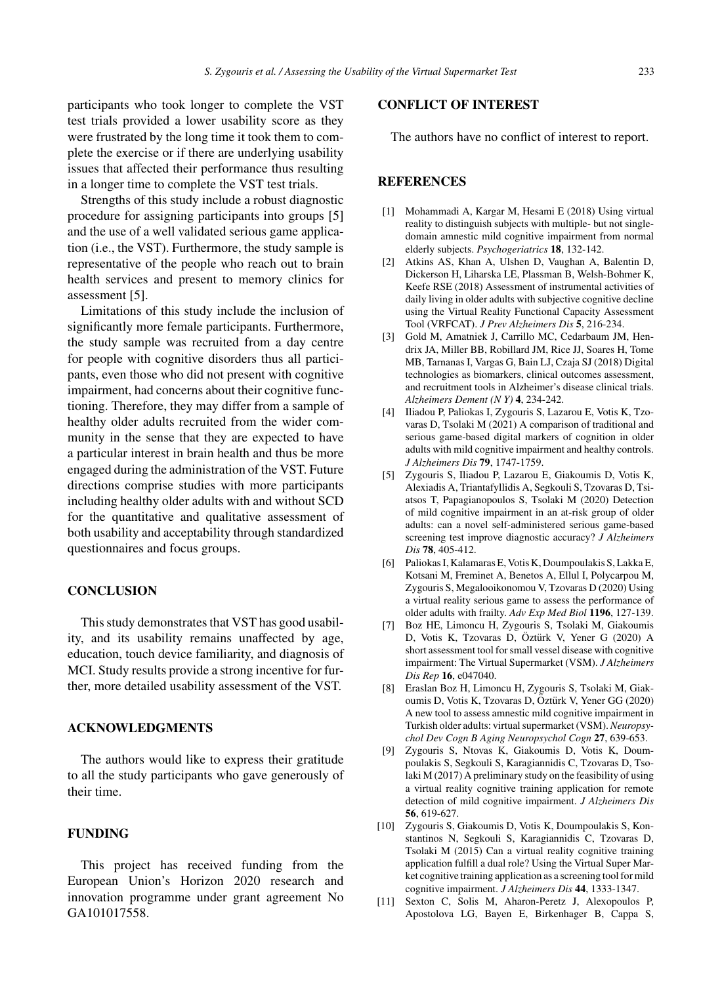participants who took longer to complete the VST test trials provided a lower usability score as they were frustrated by the long time it took them to complete the exercise or if there are underlying usability issues that affected their performance thus resulting in a longer time to complete the VST test trials.

Strengths of this study include a robust diagnostic procedure for assigning participants into groups [5] and the use of a well validated serious game application (i.e., the VST). Furthermore, the study sample is representative of the people who reach out to brain health services and present to memory clinics for assessment [5].

Limitations of this study include the inclusion of significantly more female participants. Furthermore, the study sample was recruited from a day centre for people with cognitive disorders thus all participants, even those who did not present with cognitive impairment, had concerns about their cognitive functioning. Therefore, they may differ from a sample of healthy older adults recruited from the wider community in the sense that they are expected to have a particular interest in brain health and thus be more engaged during the administration of the VST. Future directions comprise studies with more participants including healthy older adults with and without SCD for the quantitative and qualitative assessment of both usability and acceptability through standardized questionnaires and focus groups.

# **CONCLUSION**

This study demonstrates that VST has good usability, and its usability remains unaffected by age, education, touch device familiarity, and diagnosis of MCI. Study results provide a strong incentive for further, more detailed usability assessment of the VST.

# **ACKNOWLEDGMENTS**

The authors would like to express their gratitude to all the study participants who gave generously of their time.

# **FUNDING**

This project has received funding from the European Union's Horizon 2020 research and innovation programme under grant agreement No GA101017558.

# **CONFLICT OF INTEREST**

The authors have no conflict of interest to report.

# **REFERENCES**

- [1] Mohammadi A, Kargar M, Hesami E (2018) Using virtual reality to distinguish subjects with multiple- but not singledomain amnestic mild cognitive impairment from normal elderly subjects. *Psychogeriatrics* **18**, 132-142.
- [2] Atkins AS, Khan A, Ulshen D, Vaughan A, Balentin D, Dickerson H, Liharska LE, Plassman B, Welsh-Bohmer K, Keefe RSE (2018) Assessment of instrumental activities of daily living in older adults with subjective cognitive decline using the Virtual Reality Functional Capacity Assessment Tool (VRFCAT). *J Prev Alzheimers Dis* **5**, 216-234.
- [3] Gold M, Amatniek J, Carrillo MC, Cedarbaum JM, Hendrix JA, Miller BB, Robillard JM, Rice JJ, Soares H, Tome MB, Tarnanas I, Vargas G, Bain LJ, Czaja SJ (2018) Digital technologies as biomarkers, clinical outcomes assessment, and recruitment tools in Alzheimer's disease clinical trials. *Alzheimers Dement (N Y)* **4**, 234-242.
- [4] Iliadou P, Paliokas I, Zygouris S, Lazarou E, Votis K, Tzovaras D, Tsolaki M (2021) A comparison of traditional and serious game-based digital markers of cognition in older adults with mild cognitive impairment and healthy controls. *J Alzheimers Dis* **79**, 1747-1759.
- [5] Zygouris S, Iliadou P, Lazarou E, Giakoumis D, Votis K, Alexiadis A, Triantafyllidis A, Segkouli S, Tzovaras D, Tsiatsos T, Papagianopoulos S, Tsolaki M (2020) Detection of mild cognitive impairment in an at-risk group of older adults: can a novel self-administered serious game-based screening test improve diagnostic accuracy? *J Alzheimers Dis* **78**, 405-412.
- [6] Paliokas I, Kalamaras E, Votis K, Doumpoulakis S, Lakka E, Kotsani M, Freminet A, Benetos A, Ellul I, Polycarpou M, Zygouris S, Megalooikonomou V, Tzovaras D (2020) Using a virtual reality serious game to assess the performance of older adults with frailty. *Adv Exp Med Biol* **1196**, 127-139.
- [7] Boz HE, Limoncu H, Zygouris S, Tsolaki M, Giakoumis D, Votis K, Tzovaras D, Öztürk V, Yener G (2020) A short assessment tool for small vessel disease with cognitive impairment: The Virtual Supermarket (VSM). *J Alzheimers Dis Rep* **16**, e047040.
- [8] Eraslan Boz H, Limoncu H, Zygouris S, Tsolaki M, Giakoumis D, Votis K, Tzovaras D, Öztürk V, Yener GG (2020) A new tool to assess amnestic mild cognitive impairment in Turkish older adults: virtual supermarket (VSM).*Neuropsychol Dev Cogn B Aging Neuropsychol Cogn* **27**, 639-653.
- [9] Zygouris S, Ntovas K, Giakoumis D, Votis K, Doumpoulakis S, Segkouli S, Karagiannidis C, Tzovaras D, Tsolaki M (2017) A preliminary study on the feasibility of using a virtual reality cognitive training application for remote detection of mild cognitive impairment. *J Alzheimers Dis* **56**, 619-627.
- [10] Zygouris S, Giakoumis D, Votis K, Doumpoulakis S, Konstantinos N, Segkouli S, Karagiannidis C, Tzovaras D, Tsolaki M (2015) Can a virtual reality cognitive training application fulfill a dual role? Using the Virtual Super Market cognitive training application as a screening tool for mild cognitive impairment. *J Alzheimers Dis* **44**, 1333-1347.
- [11] Sexton C, Solis M, Aharon-Peretz J, Alexopoulos P, Apostolova LG, Bayen E, Birkenhager B, Cappa S,